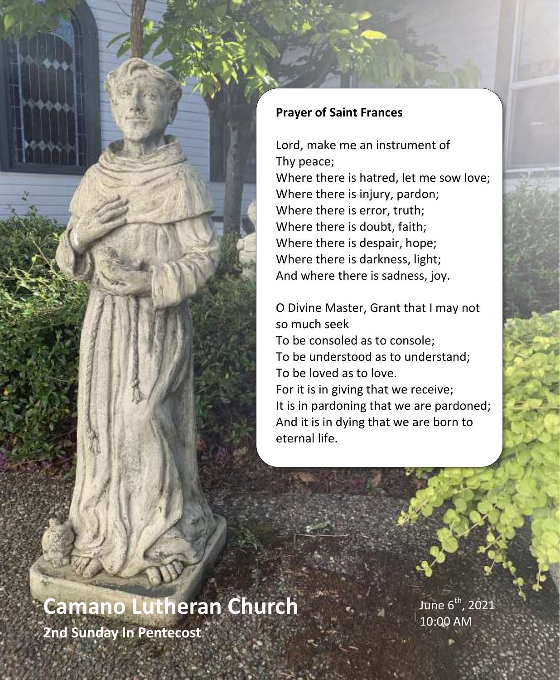

#### **Prayer of Saint Frances**

Lord, make me an instrument of Thy peace; Where there is hatred, let me sow love; Where there is injury, pardon; Where there is error, truth; Where there is doubt, faith; Where there is despair, hope; Where there is darkness, light; And where there is sadness, joy.

O Divine Master, Grant that I may not so much seek To be consoled as to console; To be understood as to understand; To be loved as to love. For it is in giving that we receive; It is in pardoning that we are pardoned; And it is in dying that we are born to eternal life.

# **Camano Lutheran Church**

June  $6^{th}$ , 2021 10:00 AM

**2nd Sunday In Pentecost**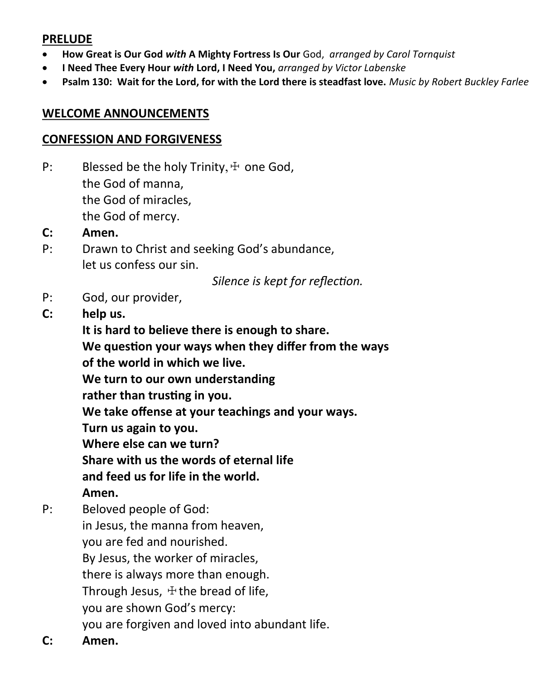#### **PRELUDE**

- **How Great is Our God** *with* **A Mighty Fortress Is Our** God, *arranged by Carol Tornquist*
- **I Need Thee Every Hour** *with* **Lord, I Need You,** *arranged by Victor Labenske*
- **Psalm 130: Wait for the Lord, for with the Lord there is steadfast love.** *Music by Robert Buckley Farlee*

#### **WELCOME ANNOUNCEMENTS**

#### **CONFESSION AND FORGIVENESS**

- P: Blessed be the holy Trinity,  $\pm$  one God, the God of manna, the God of miracles, the God of mercy.
- **C: Amen.**
- P: Drawn to Christ and seeking God's abundance, let us confess our sin.

*Silence is kept for reflection.*

- P: God, our provider,
- **C: help us.**

**It is hard to believe there is enough to share. We question your ways when they differ from the ways of the world in which we live.**

**We turn to our own understanding**

**rather than trusting in you.**

**We take offense at your teachings and your ways.**

**Turn us again to you.**

**Where else can we turn?**

**Share with us the words of eternal life**

**and feed us for life in the world.**

#### **Amen.**

- P: Beloved people of God: in Jesus, the manna from heaven, you are fed and nourished. By Jesus, the worker of miracles, there is always more than enough. Through Jesus,  $\pm$  the bread of life, you are shown God's mercy: you are forgiven and loved into abundant life.
- **C: Amen.**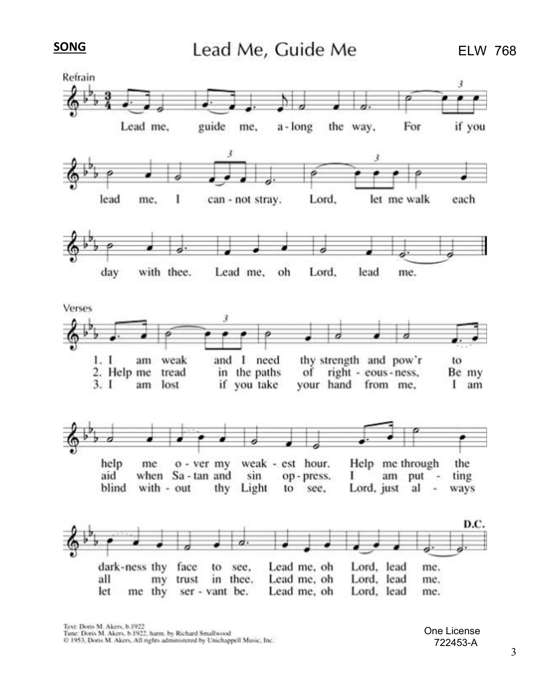**SONG** 



One License 722453-A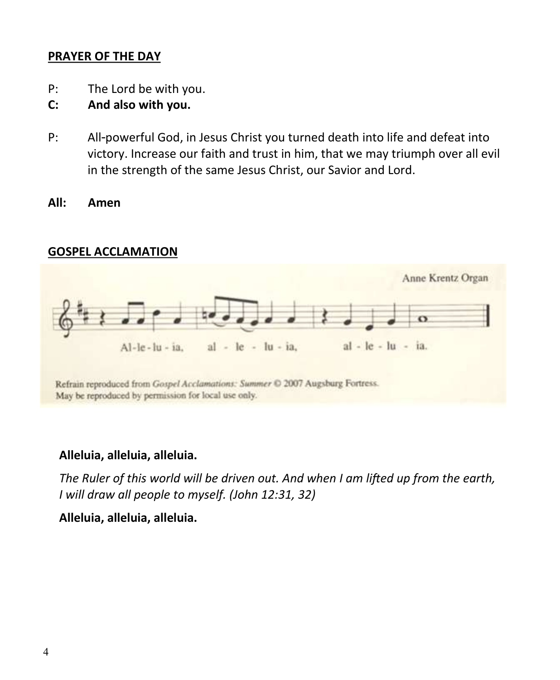#### **PRAYER OF THE DAY**

- P: The Lord be with you.
- **C: And also with you.**
- P: All-powerful God, in Jesus Christ you turned death into life and defeat into victory. Increase our faith and trust in him, that we may triumph over all evil in the strength of the same Jesus Christ, our Savior and Lord.
- **All: Amen**

#### **GOSPEL ACCLAMATION**



Refrain reproduced from Gospel Acclamations: Summer © 2007 Augsburg Fortress. May be reproduced by permission for local use only.

#### **Alleluia, alleluia, alleluia.**

*The Ruler of this world will be driven out. And when I am lifted up from the earth, I will draw all people to myself. (John 12:31, 32)*

**Alleluia, alleluia, alleluia.**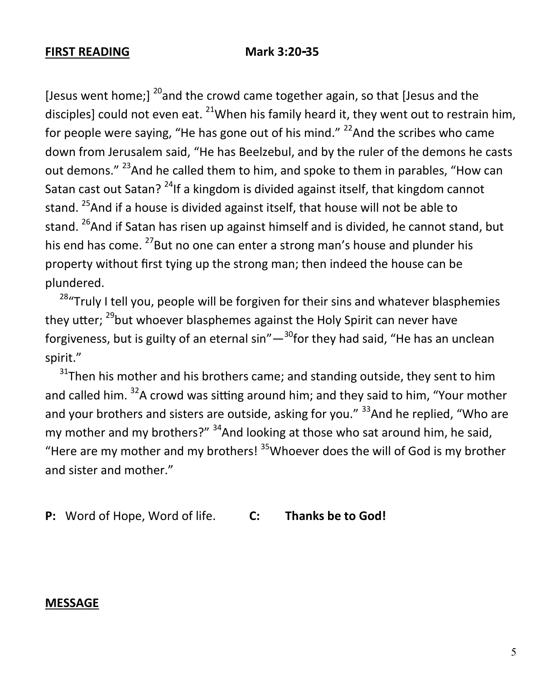#### **FIRST READING Mark 3:20-35**

[Jesus went home;]  $^{20}$  and the crowd came together again, so that [Jesus and the disciples] could not even eat.  $^{21}$ When his family heard it, they went out to restrain him, for people were saying, "He has gone out of his mind."  $^{22}$ And the scribes who came down from Jerusalem said, "He has Beelzebul, and by the ruler of the demons he casts out demons." <sup>23</sup>And he called them to him, and spoke to them in parables, "How can Satan cast out Satan?  $^{24}$ If a kingdom is divided against itself, that kingdom cannot stand. <sup>25</sup>And if a house is divided against itself, that house will not be able to stand. <sup>26</sup>And if Satan has risen up against himself and is divided, he cannot stand, but his end has come. <sup>27</sup> But no one can enter a strong man's house and plunder his property without first tying up the strong man; then indeed the house can be plundered.

<sup>28</sup> Truly I tell you, people will be forgiven for their sins and whatever blasphemies they utter; <sup>29</sup>but whoever blasphemes against the Holy Spirit can never have forgiveness, but is guilty of an eternal sin"—<sup>30</sup>for they had said, "He has an unclean spirit."

 $31$ Then his mother and his brothers came; and standing outside, they sent to him and called him.  $32A$  crowd was sitting around him; and they said to him, "Your mother and your brothers and sisters are outside, asking for you." <sup>33</sup>And he replied, "Who are my mother and my brothers?"  $34$ And looking at those who sat around him, he said, "Here are my mother and my brothers!  $35$ Whoever does the will of God is my brother and sister and mother."

**P:** Word of Hope, Word of life. **C: Thanks be to God!**

#### **MESSAGE**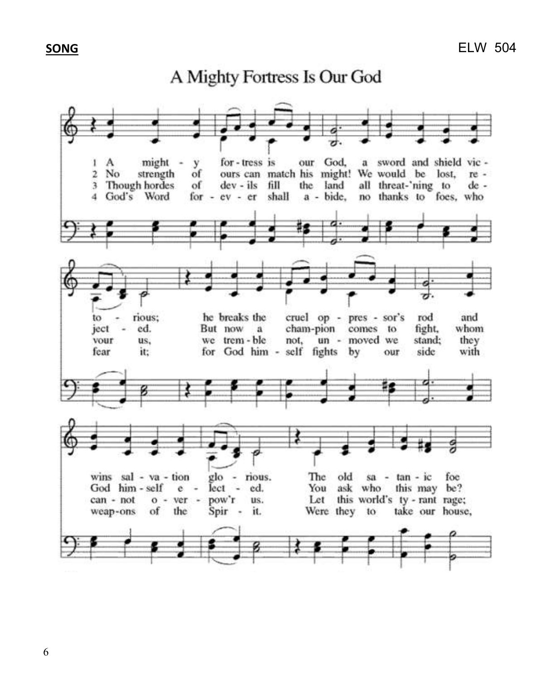#### **SONG**

## A Mighty Fortress Is Our God

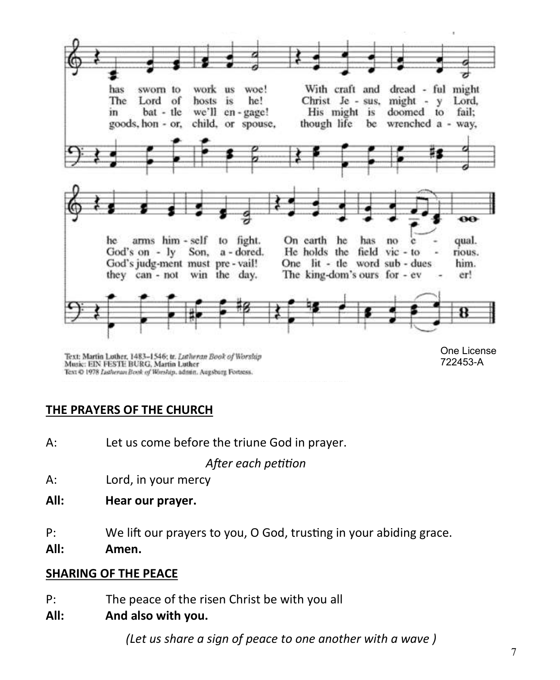

Text: Martin Lother, 1483-1546; tr. Lutheran Book of Worship Music: EIN FESTE BURG, Martin Luther Text @ 1978 Lutheran Book of Worship, admin. Augsburg Fortress.

#### **THE PRAYERS OF THE CHURCH**

A: Let us come before the triune God in prayer.

*After each petition*

- A: Lord, in your mercy
- **All: Hear our prayer.**
- P: We lift our prayers to you, O God, trusting in your abiding grace.
- **All: Amen.**

#### **SHARING OF THE PEACE**

- P: The peace of the risen Christ be with you all
- **All: And also with you.**

*(Let us share a sign of peace to one another with a wave )*

722453-A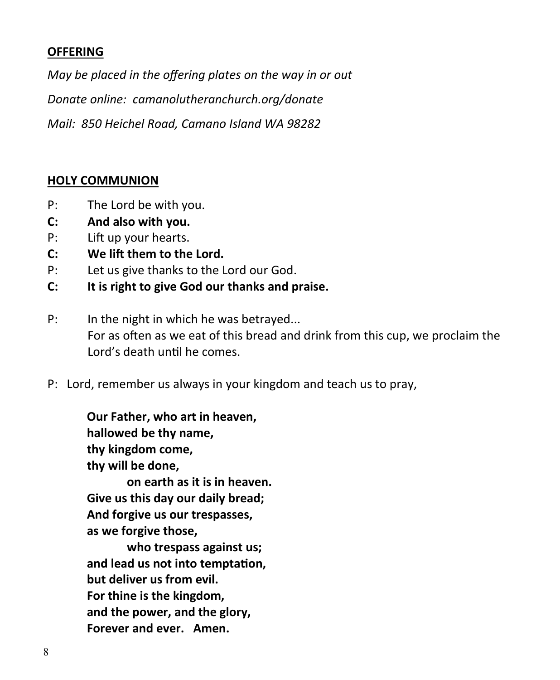#### **OFFERING**

*May be placed in the offering plates on the way in or out Donate online: camanolutheranchurch.org/donate Mail: 850 Heichel Road, Camano Island WA 98282*

#### **HOLY COMMUNION**

- P: The Lord be with you.
- **C: And also with you.**
- P: Lift up your hearts.
- **C: We lift them to the Lord.**
- P: Let us give thanks to the Lord our God.
- **C: It is right to give God our thanks and praise.**
- P: In the night in which he was betrayed... For as often as we eat of this bread and drink from this cup, we proclaim the Lord's death until he comes.
- P: Lord, remember us always in your kingdom and teach us to pray,

**Our Father, who art in heaven, hallowed be thy name, thy kingdom come, thy will be done, on earth as it is in heaven. Give us this day our daily bread;**

**And forgive us our trespasses, as we forgive those,**

**who trespass against us; and lead us not into temptation, but deliver us from evil. For thine is the kingdom, and the power, and the glory, Forever and ever. Amen.**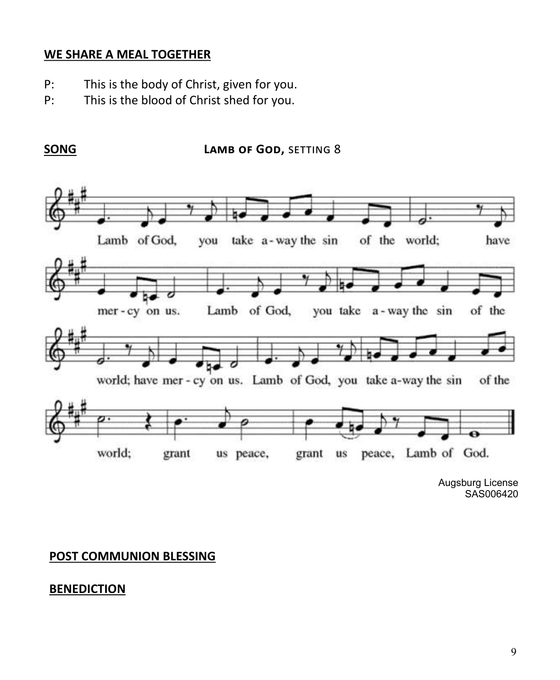#### **WE SHARE A MEAL TOGETHER**

- P: This is the body of Christ, given for you.
- P: This is the blood of Christ shed for you.

**SONG LAMB OF GOD, SETTING 8** 



Augsburg License SAS006420

#### **POST COMMUNION BLESSING**

#### **BENEDICTION**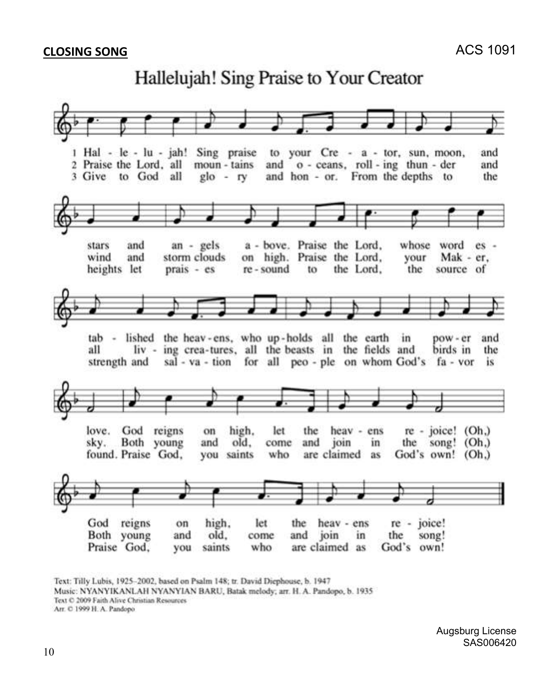## Hallelujah! Sing Praise to Your Creator



Text: Tilly Lubis, 1925-2002, based on Psalm 148; tr. David Diephouse, b. 1947

Music: NYANYIKANLAH NYANYIAN BARU, Batak melody; arr. H. A. Pandopo, b. 1935

Text © 2009 Faith Alive Christian Resources

Arr. C 1999 H. A. Pandopo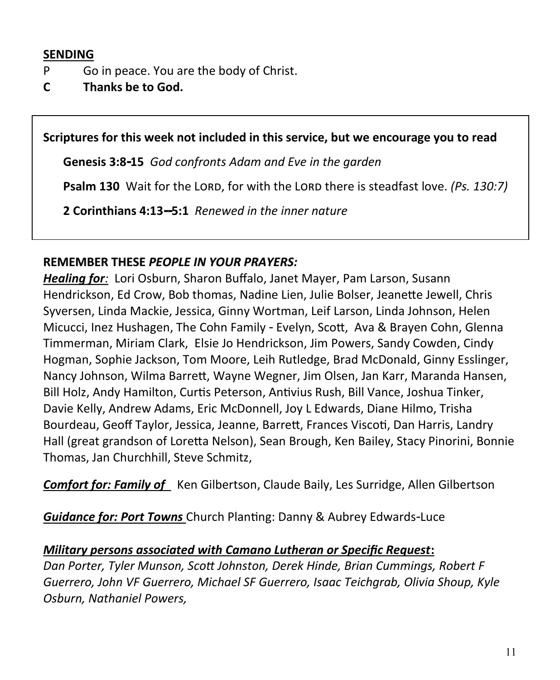#### **SENDING**

- P Go in peace. You are the body of Christ.
- **C Thanks be to God.**

**Scriptures for this week not included in this service, but we encourage you to read** 

**[Genesis 3:8-15](https://members.sundaysandseasons.com/Home/TextsAndResources)** *God confronts Adam and Eve in the garden*

**[Psalm 130](https://members.sundaysandseasons.com/Home/TextsAndResources)** Wait for the LORD, for with the LORD there is steadfast love. *(Ps. 130:7)* 

**[2 Corinthians 4:13--5:1](https://members.sundaysandseasons.com/Home/TextsAndResources)** *Renewed in the inner nature*

#### **REMEMBER THESE** *PEOPLE IN YOUR PRAYERS:*

*Healing for:* Lori Osburn, Sharon Buffalo, Janet Mayer, Pam Larson, Susann Hendrickson, Ed Crow, Bob thomas, Nadine Lien, Julie Bolser, Jeanette Jewell, Chris Syversen, Linda Mackie, Jessica, Ginny Wortman, Leif Larson, Linda Johnson, Helen Micucci, Inez Hushagen, The Cohn Family - Evelyn, Scott, Ava & Brayen Cohn, Glenna Timmerman, Miriam Clark, Elsie Jo Hendrickson, Jim Powers, Sandy Cowden, Cindy Hogman, Sophie Jackson, Tom Moore, Leih Rutledge, Brad McDonald, Ginny Esslinger, Nancy Johnson, Wilma Barrett, Wayne Wegner, Jim Olsen, Jan Karr, Maranda Hansen, Bill Holz, Andy Hamilton, Curtis Peterson, Antivius Rush, Bill Vance, Joshua Tinker, Davie Kelly, Andrew Adams, Eric McDonnell, Joy L Edwards, Diane Hilmo, Trisha Bourdeau, Geoff Taylor, Jessica, Jeanne, Barrett, Frances Viscoti, Dan Harris, Landry Hall (great grandson of Loretta Nelson), Sean Brough, Ken Bailey, Stacy Pinorini, Bonnie Thomas, Jan Churchhill, Steve Schmitz,

**Comfort for: Family of** Ken Gilbertson, Claude Baily, Les Surridge, Allen Gilbertson

*Guidance for: Port Towns* Church Planting: Danny & Aubrey Edwards-Luce

#### *Military persons associated with Camano Lutheran or Specific Request***:**

*Dan Porter, Tyler Munson, Scott Johnston, Derek Hinde, Brian Cummings, Robert F Guerrero, John VF Guerrero, Michael SF Guerrero, Isaac Teichgrab, Olivia Shoup, Kyle Osburn, Nathaniel Powers,*